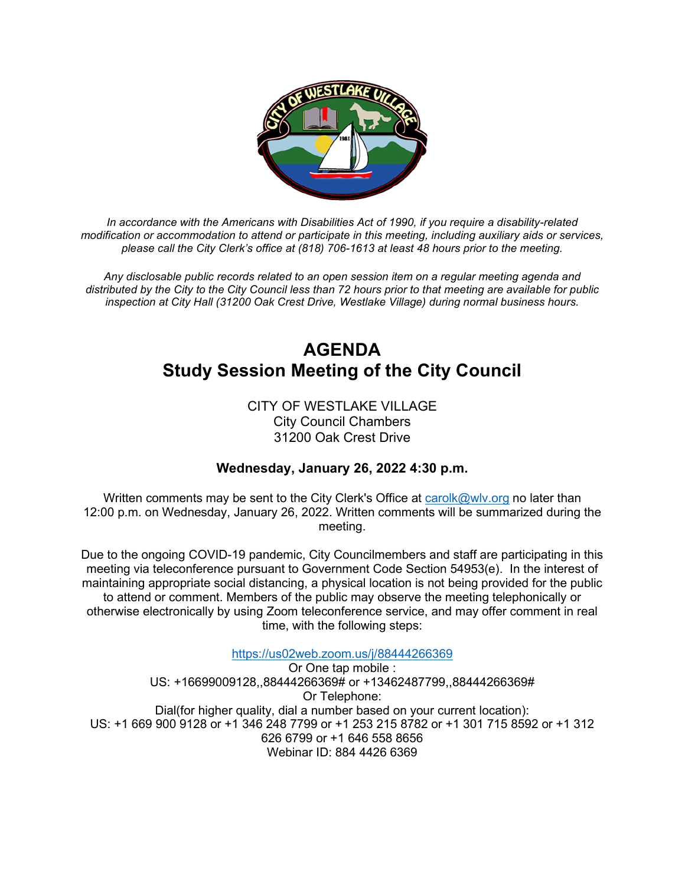

*In accordance with the Americans with Disabilities Act of 1990, if you require a disability-related modification or accommodation to attend or participate in this meeting, including auxiliary aids or services, please call the City Clerk's office at (818) 706-1613 at least 48 hours prior to the meeting.*

*Any disclosable public records related to an open session item on a regular meeting agenda and distributed by the City to the City Council less than 72 hours prior to that meeting are available for public inspection at City Hall (31200 Oak Crest Drive, Westlake Village) during normal business hours.* 

# **AGENDA Study Session Meeting of the City Council**

CITY OF WESTLAKE VILLAGE City Council Chambers 31200 Oak Crest Drive

## **Wednesday, January 26, 2022 4:30 p.m.**

Written comments may be sent to the City Clerk's Office at [carolk@wlv.org](mailto:carolk@wlv.org) no later than 12:00 p.m. on Wednesday, January 26, 2022. Written comments will be summarized during the meeting.

Due to the ongoing COVID-19 pandemic, City Councilmembers and staff are participating in this meeting via teleconference pursuant to Government Code Section 54953(e). In the interest of maintaining appropriate social distancing, a physical location is not being provided for the public to attend or comment. Members of the public may observe the meeting telephonically or otherwise electronically by using Zoom teleconference service, and may offer comment in real time, with the following steps:

<https://us02web.zoom.us/j/88444266369>

Or One tap mobile : US: +16699009128,,88444266369# or +13462487799,,88444266369# Or Telephone: Dial(for higher quality, dial a number based on your current location): US: +1 669 900 9128 or +1 346 248 7799 or +1 253 215 8782 or +1 301 715 8592 or +1 312 626 6799 or +1 646 558 8656 Webinar ID: 884 4426 6369